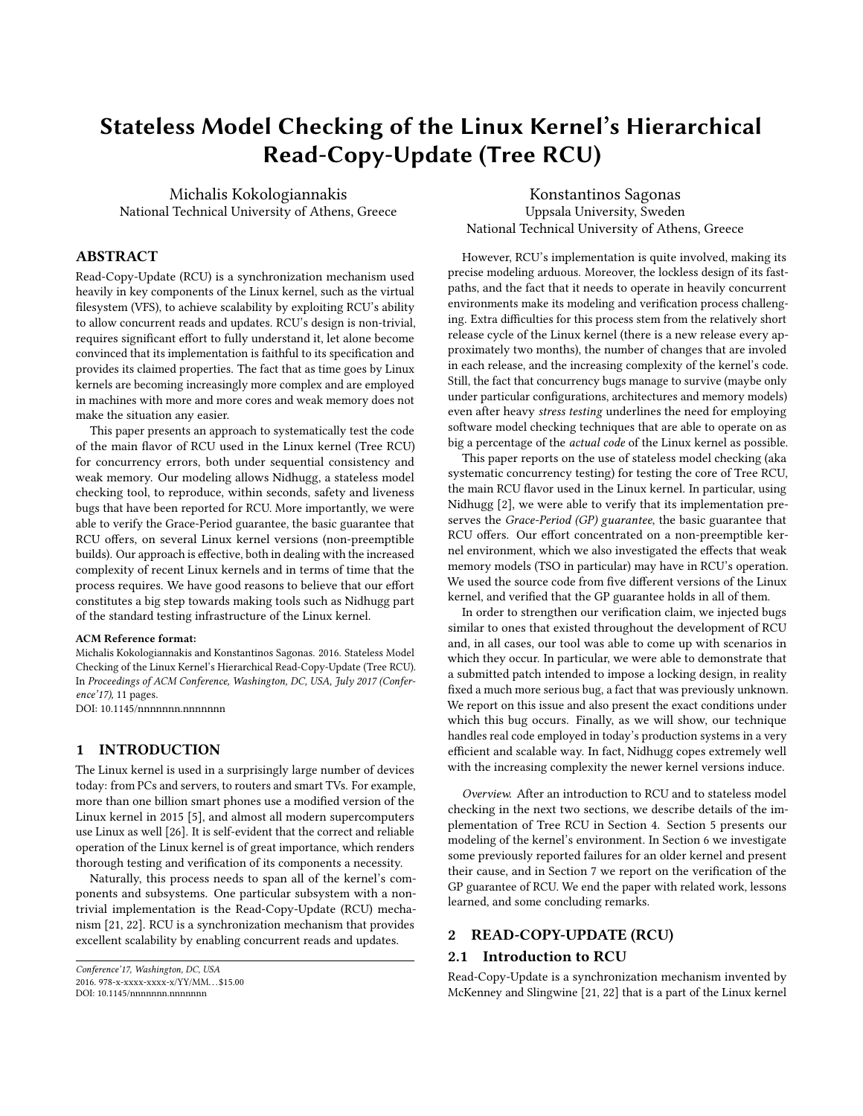# Stateless Model Checking of the Linux Kernel's Hierarchical Read-Copy-Update (Tree RCU)

Michalis Kokologiannakis National Technical University of Athens, Greece

Konstantinos Sagonas Uppsala University, Sweden National Technical University of Athens, Greece

## ABSTRACT

Read-Copy-Update (RCU) is a synchronization mechanism used heavily in key components of the Linux kernel, such as the virtual filesystem (VFS), to achieve scalability by exploiting RCU's ability to allow concurrent reads and updates. RCU's design is non-trivial, requires significant effort to fully understand it, let alone become convinced that its implementation is faithful to its specification and provides its claimed properties. The fact that as time goes by Linux kernels are becoming increasingly more complex and are employed in machines with more and more cores and weak memory does not make the situation any easier.

This paper presents an approach to systematically test the code of the main flavor of RCU used in the Linux kernel (Tree RCU) for concurrency errors, both under sequential consistency and weak memory. Our modeling allows Nidhugg, a stateless model checking tool, to reproduce, within seconds, safety and liveness bugs that have been reported for RCU. More importantly, we were able to verify the Grace-Period guarantee, the basic guarantee that RCU offers, on several Linux kernel versions (non-preemptible builds). Our approach is effective, both in dealing with the increased complexity of recent Linux kernels and in terms of time that the process requires. We have good reasons to believe that our effort constitutes a big step towards making tools such as Nidhugg part of the standard testing infrastructure of the Linux kernel.

#### ACM Reference format:

Michalis Kokologiannakis and Konstantinos Sagonas. 2016. Stateless Model Checking of the Linux Kernel's Hierarchical Read-Copy-Update (Tree RCU). In Proceedings of ACM Conference, Washington, DC, USA, July 2017 (Conference'17), [11](#page-10-0) pages.

DOI: 10.1145/nnnnnnn.nnnnnnn

### 1 INTRODUCTION

The Linux kernel is used in a surprisingly large number of devices today: from PCs and servers, to routers and smart TVs. For example, more than one billion smart phones use a modified version of the Linux kernel in 2015 [\[5\]](#page-9-0), and almost all modern supercomputers use Linux as well [\[26\]](#page-9-1). It is self-evident that the correct and reliable operation of the Linux kernel is of great importance, which renders thorough testing and verification of its components a necessity.

Naturally, this process needs to span all of the kernel's components and subsystems. One particular subsystem with a nontrivial implementation is the Read-Copy-Update (RCU) mechanism [\[21,](#page-9-2) [22\]](#page-9-3). RCU is a synchronization mechanism that provides excellent scalability by enabling concurrent reads and updates.

```
Conference'17, Washington, DC, USA
2016. 978-x-xxxx-xxxx-x/YY/MM. . . $15.00
DOI: 10.1145/nnnnnnn.nnnnnnn
```
However, RCU's implementation is quite involved, making its precise modeling arduous. Moreover, the lockless design of its fastpaths, and the fact that it needs to operate in heavily concurrent environments make its modeling and verification process challenging. Extra difficulties for this process stem from the relatively short release cycle of the Linux kernel (there is a new release every approximately two months), the number of changes that are involed in each release, and the increasing complexity of the kernel's code. Still, the fact that concurrency bugs manage to survive (maybe only under particular configurations, architectures and memory models) even after heavy stress testing underlines the need for employing software model checking techniques that are able to operate on as big a percentage of the actual code of the Linux kernel as possible.

This paper reports on the use of stateless model checking (aka systematic concurrency testing) for testing the core of Tree RCU, the main RCU flavor used in the Linux kernel. In particular, using Nidhugg [\[2\]](#page-9-4), we were able to verify that its implementation preserves the Grace-Period (GP) guarantee, the basic guarantee that RCU offers. Our effort concentrated on a non-preemptible kernel environment, which we also investigated the effects that weak memory models (TSO in particular) may have in RCU's operation. We used the source code from five different versions of the Linux kernel, and verified that the GP guarantee holds in all of them.

In order to strengthen our verification claim, we injected bugs similar to ones that existed throughout the development of RCU and, in all cases, our tool was able to come up with scenarios in which they occur. In particular, we were able to demonstrate that a submitted patch intended to impose a locking design, in reality fixed a much more serious bug, a fact that was previously unknown. We report on this issue and also present the exact conditions under which this bug occurs. Finally, as we will show, our technique handles real code employed in today's production systems in a very efficient and scalable way. In fact, Nidhugg copes extremely well with the increasing complexity the newer kernel versions induce.

Overview. After an introduction to RCU and to stateless model checking in the next two sections, we describe details of the implementation of Tree RCU in Section [4.](#page-2-0) Section [5](#page-4-0) presents our modeling of the kernel's environment. In Section [6](#page-5-0) we investigate some previously reported failures for an older kernel and present their cause, and in Section [7](#page-6-0) we report on the verification of the GP guarantee of RCU. We end the paper with related work, lessons learned, and some concluding remarks.

### 2 READ-COPY-UPDATE (RCU)

### 2.1 Introduction to RCU

Read-Copy-Update is a synchronization mechanism invented by McKenney and Slingwine [\[21,](#page-9-2) [22\]](#page-9-3) that is a part of the Linux kernel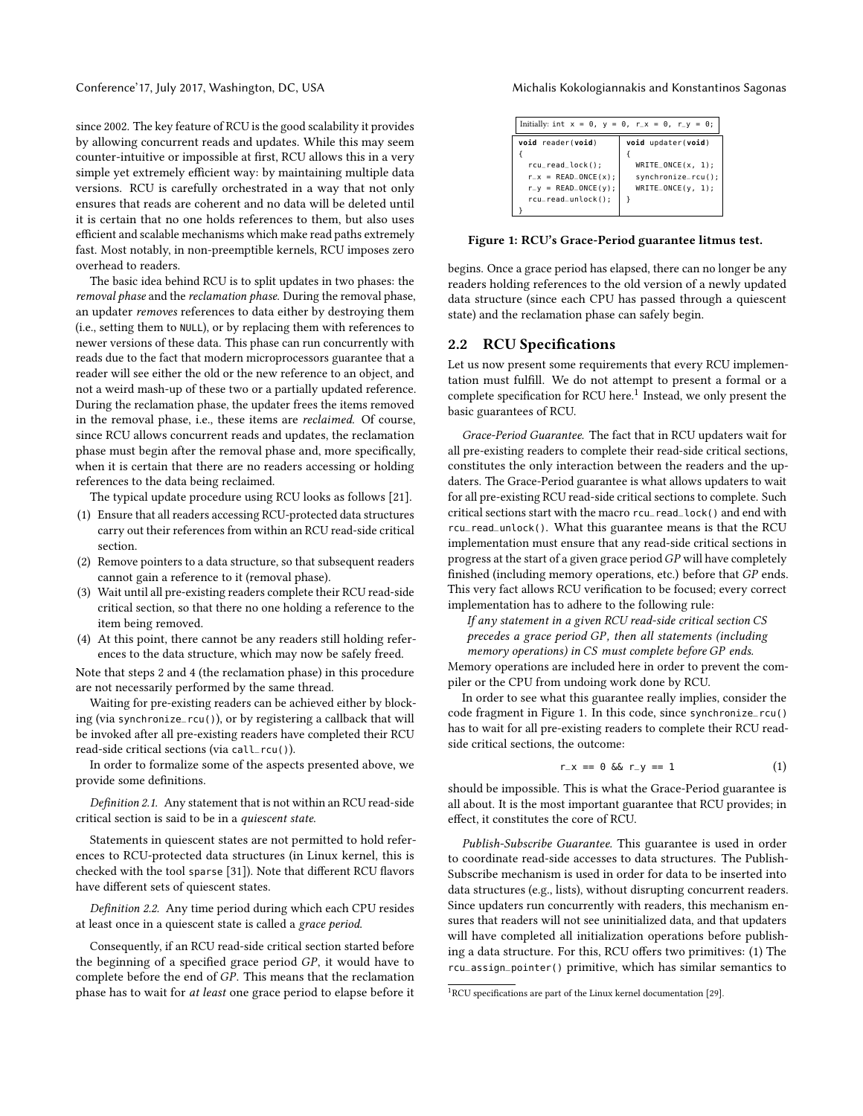Conference'17, July 2017, Washington, DC, USA Michalis Kokologiannakis and Konstantinos Sagonas

since 2002. The key feature of RCU is the good scalability it provides by allowing concurrent reads and updates. While this may seem counter-intuitive or impossible at first, RCU allows this in a very simple yet extremely efficient way: by maintaining multiple data versions. RCU is carefully orchestrated in a way that not only ensures that reads are coherent and no data will be deleted until it is certain that no one holds references to them, but also uses efficient and scalable mechanisms which make read paths extremely fast. Most notably, in non-preemptible kernels, RCU imposes zero overhead to readers.

The basic idea behind RCU is to split updates in two phases: the removal phase and the reclamation phase. During the removal phase, an updater removes references to data either by destroying them (i.e., setting them to NULL), or by replacing them with references to newer versions of these data. This phase can run concurrently with reads due to the fact that modern microprocessors guarantee that a reader will see either the old or the new reference to an object, and not a weird mash-up of these two or a partially updated reference. During the reclamation phase, the updater frees the items removed in the removal phase, i.e., these items are reclaimed. Of course, since RCU allows concurrent reads and updates, the reclamation phase must begin after the removal phase and, more specifically, when it is certain that there are no readers accessing or holding references to the data being reclaimed.

The typical update procedure using RCU looks as follows [\[21\]](#page-9-2).

- (1) Ensure that all readers accessing RCU-protected data structures carry out their references from within an RCU read-side critical section.
- <span id="page-1-0"></span>(2) Remove pointers to a data structure, so that subsequent readers cannot gain a reference to it (removal phase).
- (3) Wait until all pre-existing readers complete their RCU read-side critical section, so that there no one holding a reference to the item being removed.
- <span id="page-1-1"></span>(4) At this point, there cannot be any readers still holding references to the data structure, which may now be safely freed.

Note that steps [2](#page-1-0) and [4](#page-1-1) (the reclamation phase) in this procedure are not necessarily performed by the same thread.

Waiting for pre-existing readers can be achieved either by blocking (via synchronize\_rcu()), or by registering a callback that will be invoked after all pre-existing readers have completed their RCU read-side critical sections (via call\_rcu()).

In order to formalize some of the aspects presented above, we provide some definitions.

Definition 2.1. Any statement that is not within an RCU read-side critical section is said to be in a quiescent state.

Statements in quiescent states are not permitted to hold references to RCU-protected data structures (in Linux kernel, this is checked with the tool sparse [\[31\]](#page-9-5)). Note that different RCU flavors have different sets of quiescent states.

Definition 2.2. Any time period during which each CPU resides at least once in a quiescent state is called a grace period.

Consequently, if an RCU read-side critical section started before the beginning of a specified grace period  $GP$ , it would have to complete before the end of GP. This means that the reclamation phase has to wait for at least one grace period to elapse before it

<span id="page-1-3"></span>

| Initially: int $x = 0$ , $y = 0$ , $r_{-}x = 0$ , $r_{-}y = 0$ ; |                                      |  |  |  |  |  |  |  |  |  |
|------------------------------------------------------------------|--------------------------------------|--|--|--|--|--|--|--|--|--|
| void reader(void)                                                | void updater(void)                   |  |  |  |  |  |  |  |  |  |
|                                                                  |                                      |  |  |  |  |  |  |  |  |  |
| $rcu$ <sub>read</sub> $lock()$ ;                                 | $WRITE_ONCE(x, 1);$                  |  |  |  |  |  |  |  |  |  |
| $r_{-}x = \text{READ\_ONCE}(x)$ ;                                | $synchronize\_rcu()$ ;               |  |  |  |  |  |  |  |  |  |
| $r_y = READONCE(y)$ ;                                            | $WRITE$ <sub>-</sub> ONCE( $y$ , 1); |  |  |  |  |  |  |  |  |  |
| $rcu$ <sub>rcad</sub> _unlock();                                 |                                      |  |  |  |  |  |  |  |  |  |
|                                                                  |                                      |  |  |  |  |  |  |  |  |  |

Figure 1: RCU's Grace-Period guarantee litmus test.

begins. Once a grace period has elapsed, there can no longer be any readers holding references to the old version of a newly updated data structure (since each CPU has passed through a quiescent state) and the reclamation phase can safely begin.

### 2.2 RCU Specifications

Let us now present some requirements that every RCU implementation must fulfill. We do not attempt to present a formal or a complete specification for RCU here.<sup>[1](#page-1-2)</sup> Instead, we only present the basic guarantees of RCU.

Grace-Period Guarantee. The fact that in RCU updaters wait for all pre-existing readers to complete their read-side critical sections, constitutes the only interaction between the readers and the updaters. The Grace-Period guarantee is what allows updaters to wait for all pre-existing RCU read-side critical sections to complete. Such critical sections start with the macro rcu\_read\_lock() and end with rcu\_read\_unlock(). What this guarantee means is that the RCU implementation must ensure that any read-side critical sections in progress at the start of a given grace period  $GP$  will have completely finished (including memory operations, etc.) before that GP ends. This very fact allows RCU verification to be focused; every correct implementation has to adhere to the following rule:

If any statement in a given RCU read-side critical section CS precedes a grace period GP, then all statements (including memory operations) in CS must complete before GP ends.

Memory operations are included here in order to prevent the compiler or the CPU from undoing work done by RCU.

In order to see what this guarantee really implies, consider the code fragment in Figure [1.](#page-1-3) In this code, since synchronize\_rcu() has to wait for all pre-existing readers to complete their RCU readside critical sections, the outcome:

$$
r_{-}x = 0 \& x r_{-}y = 1 \tag{1}
$$

should be impossible. This is what the Grace-Period guarantee is all about. It is the most important guarantee that RCU provides; in effect, it constitutes the core of RCU.

Publish-Subscribe Guarantee. This guarantee is used in order to coordinate read-side accesses to data structures. The Publish-Subscribe mechanism is used in order for data to be inserted into data structures (e.g., lists), without disrupting concurrent readers. Since updaters run concurrently with readers, this mechanism ensures that readers will not see uninitialized data, and that updaters will have completed all initialization operations before publishing a data structure. For this, RCU offers two primitives: (1) The rcu\_assign\_pointer() primitive, which has similar semantics to

<span id="page-1-2"></span> $1$ RCU specifications are part of the Linux kernel documentation [\[29\]](#page-9-6).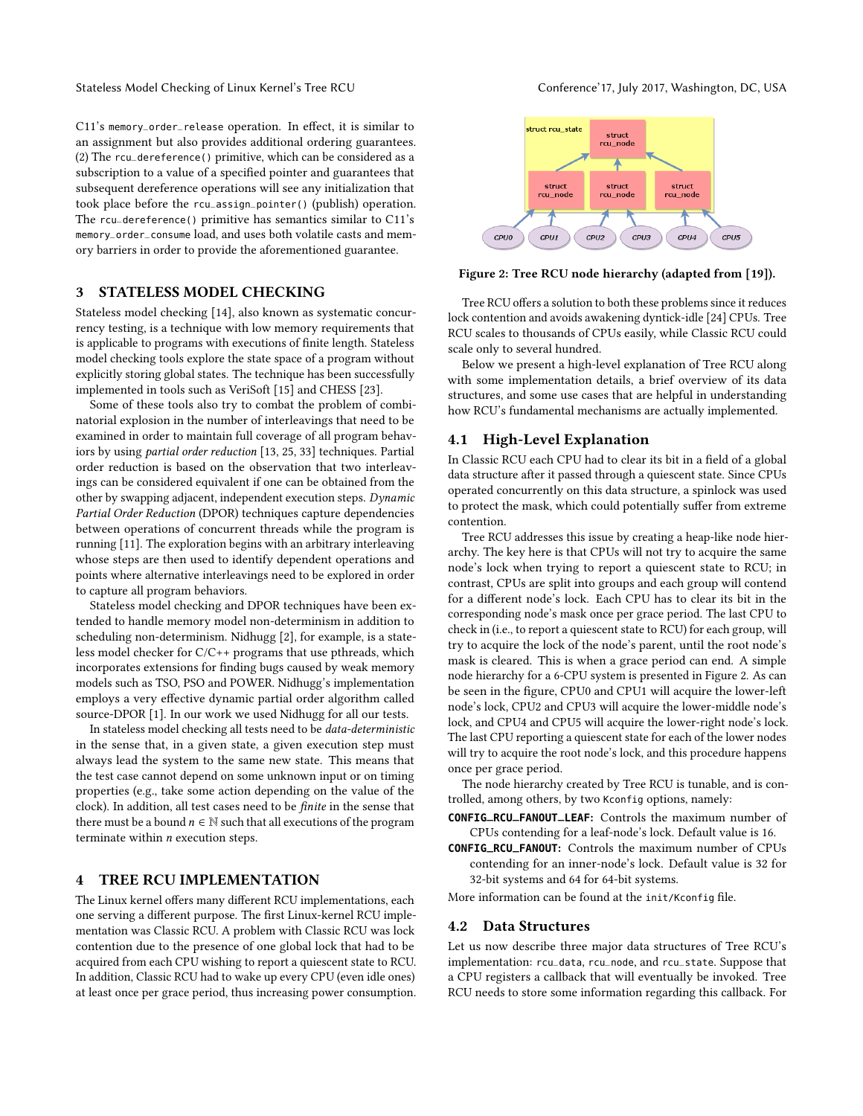Stateless Model Checking of Linux Kernel's Tree RCU Conference' 17, July 2017, Washington, DC, USA

C11's memory\_order\_release operation. In effect, it is similar to an assignment but also provides additional ordering guarantees. (2) The rcu\_dereference() primitive, which can be considered as a subscription to a value of a specified pointer and guarantees that subsequent dereference operations will see any initialization that took place before the rcu\_assign\_pointer() (publish) operation. The rcu\_dereference() primitive has semantics similar to C11's memory\_order\_consume load, and uses both volatile casts and memory barriers in order to provide the aforementioned guarantee.

### 3 STATELESS MODEL CHECKING

Stateless model checking [\[14\]](#page-9-7), also known as systematic concurrency testing, is a technique with low memory requirements that is applicable to programs with executions of finite length. Stateless model checking tools explore the state space of a program without explicitly storing global states. The technique has been successfully implemented in tools such as VeriSoft [\[15\]](#page-9-8) and CHESS [\[23\]](#page-9-9).

Some of these tools also try to combat the problem of combinatorial explosion in the number of interleavings that need to be examined in order to maintain full coverage of all program behaviors by using partial order reduction [\[13,](#page-9-10) [25,](#page-9-11) [33\]](#page-9-12) techniques. Partial order reduction is based on the observation that two interleavings can be considered equivalent if one can be obtained from the other by swapping adjacent, independent execution steps. Dynamic Partial Order Reduction (DPOR) techniques capture dependencies between operations of concurrent threads while the program is running [\[11\]](#page-9-13). The exploration begins with an arbitrary interleaving whose steps are then used to identify dependent operations and points where alternative interleavings need to be explored in order to capture all program behaviors.

Stateless model checking and DPOR techniques have been extended to handle memory model non-determinism in addition to scheduling non-determinism. Nidhugg [\[2\]](#page-9-4), for example, is a stateless model checker for C/C++ programs that use pthreads, which incorporates extensions for finding bugs caused by weak memory models such as TSO, PSO and POWER. Nidhugg's implementation employs a very effective dynamic partial order algorithm called source-DPOR [\[1\]](#page-9-14). In our work we used Nidhugg for all our tests.

In stateless model checking all tests need to be data-deterministic in the sense that, in a given state, a given execution step must always lead the system to the same new state. This means that the test case cannot depend on some unknown input or on timing properties (e.g., take some action depending on the value of the clock). In addition, all test cases need to be *finite* in the sense that there must be a bound  $n \in \mathbb{N}$  such that all executions of the program terminate within  $n$  execution steps.

### <span id="page-2-0"></span>4 TREE RCU IMPLEMENTATION

The Linux kernel offers many different RCU implementations, each one serving a different purpose. The first Linux-kernel RCU implementation was Classic RCU. A problem with Classic RCU was lock contention due to the presence of one global lock that had to be acquired from each CPU wishing to report a quiescent state to RCU. In addition, Classic RCU had to wake up every CPU (even idle ones) at least once per grace period, thus increasing power consumption.

<span id="page-2-1"></span>

Figure 2: Tree RCU node hierarchy (adapted from [\[19\]](#page-9-15)).

Tree RCU offers a solution to both these problems since it reduces lock contention and avoids awakening dyntick-idle [\[24\]](#page-9-16) CPUs. Tree RCU scales to thousands of CPUs easily, while Classic RCU could scale only to several hundred.

Below we present a high-level explanation of Tree RCU along with some implementation details, a brief overview of its data structures, and some use cases that are helpful in understanding how RCU's fundamental mechanisms are actually implemented.

### 4.1 High-Level Explanation

In Classic RCU each CPU had to clear its bit in a field of a global data structure after it passed through a quiescent state. Since CPUs operated concurrently on this data structure, a spinlock was used to protect the mask, which could potentially suffer from extreme contention.

Tree RCU addresses this issue by creating a heap-like node hierarchy. The key here is that CPUs will not try to acquire the same node's lock when trying to report a quiescent state to RCU; in contrast, CPUs are split into groups and each group will contend for a different node's lock. Each CPU has to clear its bit in the corresponding node's mask once per grace period. The last CPU to check in (i.e., to report a quiescent state to RCU) for each group, will try to acquire the lock of the node's parent, until the root node's mask is cleared. This is when a grace period can end. A simple node hierarchy for a 6-CPU system is presented in Figure [2.](#page-2-1) As can be seen in the figure, CPU0 and CPU1 will acquire the lower-left node's lock, CPU2 and CPU3 will acquire the lower-middle node's lock, and CPU4 and CPU5 will acquire the lower-right node's lock. The last CPU reporting a quiescent state for each of the lower nodes will try to acquire the root node's lock, and this procedure happens once per grace period.

The node hierarchy created by Tree RCU is tunable, and is controlled, among others, by two Kconfig options, namely:

- **CONFIG\_RCU\_FANOUT\_LEAF**: Controls the maximum number of CPUs contending for a leaf-node's lock. Default value is 16.
- **CONFIG\_RCU\_FANOUT**: Controls the maximum number of CPUs contending for an inner-node's lock. Default value is 32 for 32-bit systems and 64 for 64-bit systems.

More information can be found at the init/Kconfig file.

### 4.2 Data Structures

Let us now describe three major data structures of Tree RCU's implementation: rcu\_data, rcu\_node, and rcu\_state. Suppose that a CPU registers a callback that will eventually be invoked. Tree RCU needs to store some information regarding this callback. For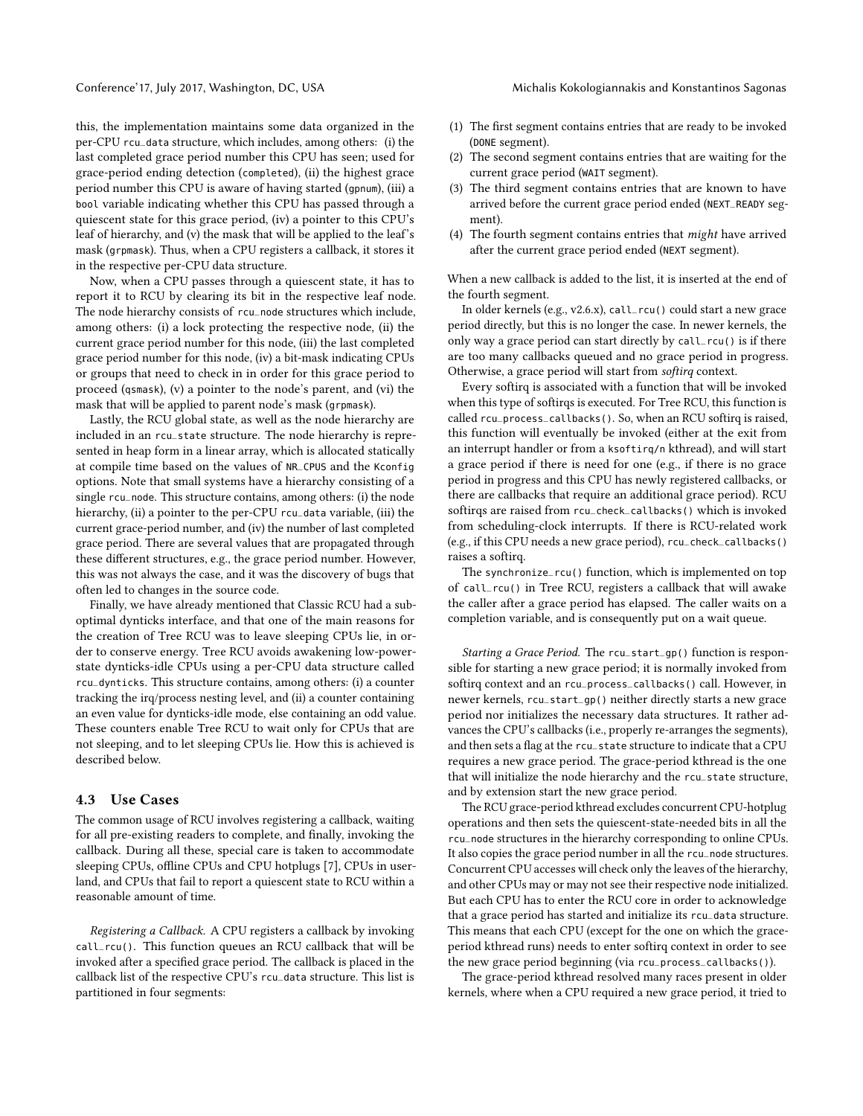this, the implementation maintains some data organized in the per-CPU rcu\_data structure, which includes, among others: (i) the last completed grace period number this CPU has seen; used for grace-period ending detection (completed), (ii) the highest grace period number this CPU is aware of having started (gpnum), (iii) a bool variable indicating whether this CPU has passed through a quiescent state for this grace period, (iv) a pointer to this CPU's leaf of hierarchy, and (v) the mask that will be applied to the leaf's mask (grpmask). Thus, when a CPU registers a callback, it stores it in the respective per-CPU data structure.

Now, when a CPU passes through a quiescent state, it has to report it to RCU by clearing its bit in the respective leaf node. The node hierarchy consists of rcu\_node structures which include, among others: (i) a lock protecting the respective node, (ii) the current grace period number for this node, (iii) the last completed grace period number for this node, (iv) a bit-mask indicating CPUs or groups that need to check in in order for this grace period to proceed (qsmask), (v) a pointer to the node's parent, and (vi) the mask that will be applied to parent node's mask (grpmask).

Lastly, the RCU global state, as well as the node hierarchy are included in an rcu\_state structure. The node hierarchy is represented in heap form in a linear array, which is allocated statically at compile time based on the values of NR\_CPUS and the Kconfig options. Note that small systems have a hierarchy consisting of a single rcu\_node. This structure contains, among others: (i) the node hierarchy, (ii) a pointer to the per-CPU rcu\_data variable, (iii) the current grace-period number, and (iv) the number of last completed grace period. There are several values that are propagated through these different structures, e.g., the grace period number. However, this was not always the case, and it was the discovery of bugs that often led to changes in the source code.

Finally, we have already mentioned that Classic RCU had a suboptimal dynticks interface, and that one of the main reasons for the creation of Tree RCU was to leave sleeping CPUs lie, in order to conserve energy. Tree RCU avoids awakening low-powerstate dynticks-idle CPUs using a per-CPU data structure called rcu\_dynticks. This structure contains, among others: (i) a counter tracking the irq/process nesting level, and (ii) a counter containing an even value for dynticks-idle mode, else containing an odd value. These counters enable Tree RCU to wait only for CPUs that are not sleeping, and to let sleeping CPUs lie. How this is achieved is described below.

### <span id="page-3-0"></span>4.3 Use Cases

The common usage of RCU involves registering a callback, waiting for all pre-existing readers to complete, and finally, invoking the callback. During all these, special care is taken to accommodate sleeping CPUs, offline CPUs and CPU hotplugs [\[7\]](#page-9-17), CPUs in userland, and CPUs that fail to report a quiescent state to RCU within a reasonable amount of time.

Registering a Callback. A CPU registers a callback by invoking call\_rcu(). This function queues an RCU callback that will be invoked after a specified grace period. The callback is placed in the callback list of the respective CPU's rcu\_data structure. This list is partitioned in four segments:

- (1) The first segment contains entries that are ready to be invoked (DONE segment).
- (2) The second segment contains entries that are waiting for the current grace period (WAIT segment).
- (3) The third segment contains entries that are known to have arrived before the current grace period ended (NEXT\_READY segment).
- (4) The fourth segment contains entries that might have arrived after the current grace period ended (NEXT segment).

When a new callback is added to the list, it is inserted at the end of the fourth segment.

In older kernels (e.g., v2.6.x), call\_rcu() could start a new grace period directly, but this is no longer the case. In newer kernels, the only way a grace period can start directly by call\_rcu() is if there are too many callbacks queued and no grace period in progress. Otherwise, a grace period will start from softirq context.

Every softirq is associated with a function that will be invoked when this type of softirqs is executed. For Tree RCU, this function is called rcu\_process\_callbacks(). So, when an RCU softirq is raised, this function will eventually be invoked (either at the exit from an interrupt handler or from a ksoftirq/n kthread), and will start a grace period if there is need for one (e.g., if there is no grace period in progress and this CPU has newly registered callbacks, or there are callbacks that require an additional grace period). RCU softirqs are raised from rcu\_check\_callbacks() which is invoked from scheduling-clock interrupts. If there is RCU-related work (e.g., if this CPU needs a new grace period), rcu\_check\_callbacks() raises a softirq.

The synchronize\_rcu() function, which is implemented on top of call\_rcu() in Tree RCU, registers a callback that will awake the caller after a grace period has elapsed. The caller waits on a completion variable, and is consequently put on a wait queue.

Starting a Grace Period. The rcu\_start\_gp() function is responsible for starting a new grace period; it is normally invoked from softirq context and an rcu\_process\_callbacks() call. However, in newer kernels, rcu\_start\_gp() neither directly starts a new grace period nor initializes the necessary data structures. It rather advances the CPU's callbacks (i.e., properly re-arranges the segments), and then sets a flag at the rcu\_state structure to indicate that a CPU requires a new grace period. The grace-period kthread is the one that will initialize the node hierarchy and the rcu\_state structure, and by extension start the new grace period.

The RCU grace-period kthread excludes concurrent CPU-hotplug operations and then sets the quiescent-state-needed bits in all the rcu\_node structures in the hierarchy corresponding to online CPUs. It also copies the grace period number in all the rcu\_node structures. Concurrent CPU accesses will check only the leaves of the hierarchy, and other CPUs may or may not see their respective node initialized. But each CPU has to enter the RCU core in order to acknowledge that a grace period has started and initialize its rcu\_data structure. This means that each CPU (except for the one on which the graceperiod kthread runs) needs to enter softirq context in order to see the new grace period beginning (via rcu\_process\_callbacks()).

The grace-period kthread resolved many races present in older kernels, where when a CPU required a new grace period, it tried to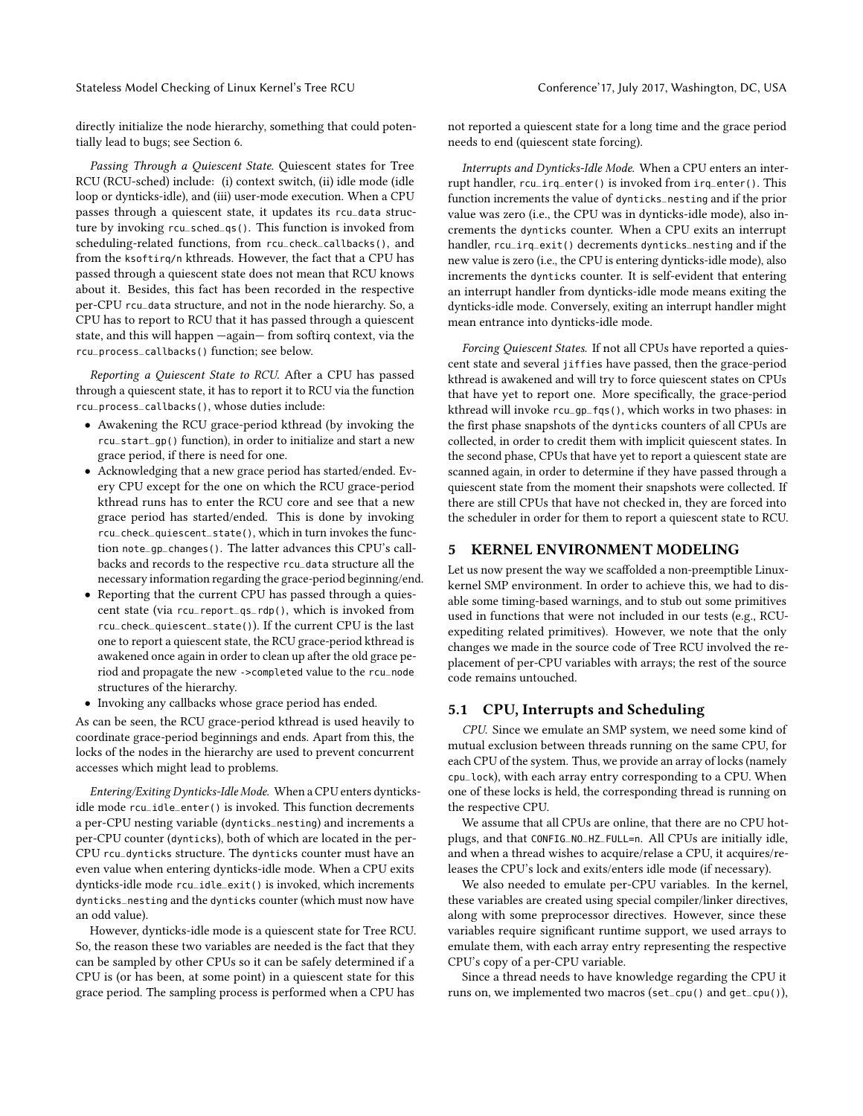Stateless Model Checking of Linux Kernel's Tree RCU Conference' 17, July 2017, Washington, DC, USA

directly initialize the node hierarchy, something that could potentially lead to bugs; see Section [6.](#page-5-0)

Passing Through a Quiescent State. Quiescent states for Tree RCU (RCU-sched) include: (i) context switch, (ii) idle mode (idle loop or dynticks-idle), and (iii) user-mode execution. When a CPU passes through a quiescent state, it updates its rcu\_data structure by invoking rcu\_sched\_qs(). This function is invoked from scheduling-related functions, from rcu\_check\_callbacks(), and from the ksoftirq/n kthreads. However, the fact that a CPU has passed through a quiescent state does not mean that RCU knows about it. Besides, this fact has been recorded in the respective per-CPU rcu\_data structure, and not in the node hierarchy. So, a CPU has to report to RCU that it has passed through a quiescent state, and this will happen —again— from softirq context, via the rcu\_process\_callbacks() function; see below.

Reporting a Quiescent State to RCU. After a CPU has passed through a quiescent state, it has to report it to RCU via the function rcu\_process\_callbacks(), whose duties include:

- Awakening the RCU grace-period kthread (by invoking the rcu\_start\_gp() function), in order to initialize and start a new grace period, if there is need for one.
- Acknowledging that a new grace period has started/ended. Every CPU except for the one on which the RCU grace-period kthread runs has to enter the RCU core and see that a new grace period has started/ended. This is done by invoking rcu\_check\_quiescent\_state(), which in turn invokes the function note\_gp\_changes(). The latter advances this CPU's callbacks and records to the respective rcu\_data structure all the necessary information regarding the grace-period beginning/end.
- Reporting that the current CPU has passed through a quiescent state (via rcu\_report\_qs\_rdp(), which is invoked from rcu\_check\_quiescent\_state()). If the current CPU is the last one to report a quiescent state, the RCU grace-period kthread is awakened once again in order to clean up after the old grace period and propagate the new ->completed value to the rcu\_node structures of the hierarchy.
- Invoking any callbacks whose grace period has ended.

As can be seen, the RCU grace-period kthread is used heavily to coordinate grace-period beginnings and ends. Apart from this, the locks of the nodes in the hierarchy are used to prevent concurrent accesses which might lead to problems.

Entering/Exiting Dynticks-Idle Mode. When a CPU enters dynticksidle mode rcu\_idle\_enter() is invoked. This function decrements a per-CPU nesting variable (dynticks\_nesting) and increments a per-CPU counter (dynticks), both of which are located in the per-CPU rcu\_dynticks structure. The dynticks counter must have an even value when entering dynticks-idle mode. When a CPU exits dynticks-idle mode rcu\_idle\_exit() is invoked, which increments dynticks\_nesting and the dynticks counter (which must now have an odd value).

However, dynticks-idle mode is a quiescent state for Tree RCU. So, the reason these two variables are needed is the fact that they can be sampled by other CPUs so it can be safely determined if a CPU is (or has been, at some point) in a quiescent state for this grace period. The sampling process is performed when a CPU has

not reported a quiescent state for a long time and the grace period needs to end (quiescent state forcing).

Interrupts and Dynticks-Idle Mode. When a CPU enters an interrupt handler, rcu\_irq\_enter() is invoked from irq\_enter(). This function increments the value of dynticks\_nesting and if the prior value was zero (i.e., the CPU was in dynticks-idle mode), also increments the dynticks counter. When a CPU exits an interrupt handler, rcu\_irq\_exit() decrements dynticks\_nesting and if the new value is zero (i.e., the CPU is entering dynticks-idle mode), also increments the dynticks counter. It is self-evident that entering an interrupt handler from dynticks-idle mode means exiting the dynticks-idle mode. Conversely, exiting an interrupt handler might mean entrance into dynticks-idle mode.

Forcing Quiescent States. If not all CPUs have reported a quiescent state and several jiffies have passed, then the grace-period kthread is awakened and will try to force quiescent states on CPUs that have yet to report one. More specifically, the grace-period kthread will invoke rcu\_gp\_fqs(), which works in two phases: in the first phase snapshots of the dynticks counters of all CPUs are collected, in order to credit them with implicit quiescent states. In the second phase, CPUs that have yet to report a quiescent state are scanned again, in order to determine if they have passed through a quiescent state from the moment their snapshots were collected. If there are still CPUs that have not checked in, they are forced into the scheduler in order for them to report a quiescent state to RCU.

### <span id="page-4-0"></span>5 KERNEL ENVIRONMENT MODELING

Let us now present the way we scaffolded a non-preemptible Linuxkernel SMP environment. In order to achieve this, we had to disable some timing-based warnings, and to stub out some primitives used in functions that were not included in our tests (e.g., RCUexpediting related primitives). However, we note that the only changes we made in the source code of Tree RCU involved the replacement of per-CPU variables with arrays; the rest of the source code remains untouched.

### 5.1 CPU, Interrupts and Scheduling

CPU. Since we emulate an SMP system, we need some kind of mutual exclusion between threads running on the same CPU, for each CPU of the system. Thus, we provide an array of locks (namely cpu\_lock), with each array entry corresponding to a CPU. When one of these locks is held, the corresponding thread is running on the respective CPU.

We assume that all CPUs are online, that there are no CPU hotplugs, and that CONFIG\_NO\_HZ\_FULL=n. All CPUs are initially idle, and when a thread wishes to acquire/relase a CPU, it acquires/releases the CPU's lock and exits/enters idle mode (if necessary).

We also needed to emulate per-CPU variables. In the kernel, these variables are created using special compiler/linker directives, along with some preprocessor directives. However, since these variables require significant runtime support, we used arrays to emulate them, with each array entry representing the respective CPU's copy of a per-CPU variable.

Since a thread needs to have knowledge regarding the CPU it runs on, we implemented two macros (set\_cpu() and get\_cpu()),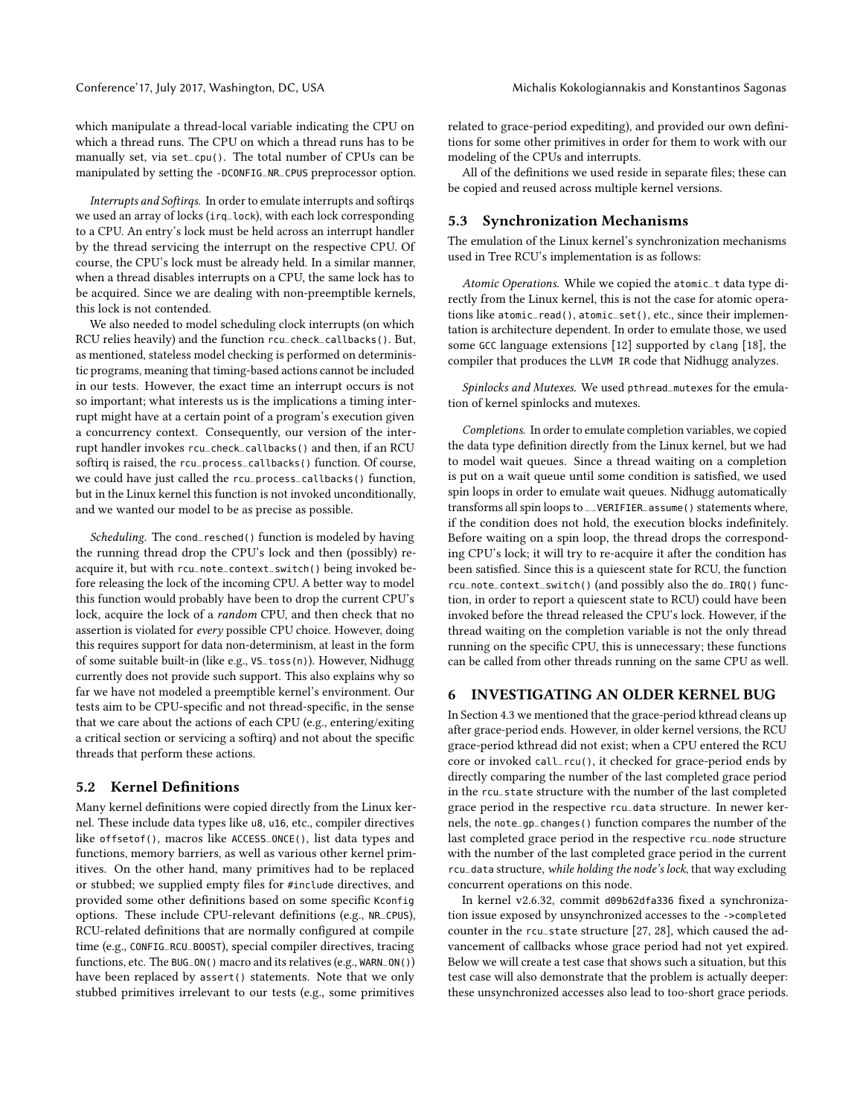which manipulate a thread-local variable indicating the CPU on which a thread runs. The CPU on which a thread runs has to be manually set, via set\_cpu(). The total number of CPUs can be manipulated by setting the -DCONFIG\_NR\_CPUS preprocessor option.

Interrupts and Softirqs. In order to emulate interrupts and softirqs we used an array of locks (irq\_lock), with each lock corresponding to a CPU. An entry's lock must be held across an interrupt handler by the thread servicing the interrupt on the respective CPU. Of course, the CPU's lock must be already held. In a similar manner, when a thread disables interrupts on a CPU, the same lock has to be acquired. Since we are dealing with non-preemptible kernels, this lock is not contended.

We also needed to model scheduling clock interrupts (on which RCU relies heavily) and the function rcu\_check\_callbacks(). But, as mentioned, stateless model checking is performed on deterministic programs, meaning that timing-based actions cannot be included in our tests. However, the exact time an interrupt occurs is not so important; what interests us is the implications a timing interrupt might have at a certain point of a program's execution given a concurrency context. Consequently, our version of the interrupt handler invokes rcu\_check\_callbacks() and then, if an RCU softirq is raised, the rcu\_process\_callbacks() function. Of course, we could have just called the rcu\_process\_callbacks() function, but in the Linux kernel this function is not invoked unconditionally, and we wanted our model to be as precise as possible.

Scheduling. The cond\_resched() function is modeled by having the running thread drop the CPU's lock and then (possibly) reacquire it, but with rcu\_note\_context\_switch() being invoked before releasing the lock of the incoming CPU. A better way to model this function would probably have been to drop the current CPU's lock, acquire the lock of a random CPU, and then check that no assertion is violated for every possible CPU choice. However, doing this requires support for data non-determinism, at least in the form of some suitable built-in (like e.g., VS\_toss(n)). However, Nidhugg currently does not provide such support. This also explains why so far we have not modeled a preemptible kernel's environment. Our tests aim to be CPU-specific and not thread-specific, in the sense that we care about the actions of each CPU (e.g., entering/exiting a critical section or servicing a softirq) and not about the specific threads that perform these actions.

### 5.2 Kernel Definitions

Many kernel definitions were copied directly from the Linux kernel. These include data types like u8, u16, etc., compiler directives like offsetof(), macros like ACCESS\_ONCE(), list data types and functions, memory barriers, as well as various other kernel primitives. On the other hand, many primitives had to be replaced or stubbed; we supplied empty files for #include directives, and provided some other definitions based on some specific Kconfig options. These include CPU-relevant definitions (e.g., NR\_CPUS), RCU-related definitions that are normally configured at compile time (e.g., CONFIG\_RCU\_BOOST), special compiler directives, tracing functions, etc. The BUG\_ON() macro and its relatives (e.g., WARN\_ON()) have been replaced by assert() statements. Note that we only stubbed primitives irrelevant to our tests (e.g., some primitives

related to grace-period expediting), and provided our own definitions for some other primitives in order for them to work with our modeling of the CPUs and interrupts.

All of the definitions we used reside in separate files; these can be copied and reused across multiple kernel versions.

### 5.3 Synchronization Mechanisms

The emulation of the Linux kernel's synchronization mechanisms used in Tree RCU's implementation is as follows:

Atomic Operations. While we copied the atomic\_t data type directly from the Linux kernel, this is not the case for atomic operations like atomic\_read(), atomic\_set(), etc., since their implementation is architecture dependent. In order to emulate those, we used some GCC language extensions [\[12\]](#page-9-18) supported by clang [\[18\]](#page-9-19), the compiler that produces the LLVM IR code that Nidhugg analyzes.

Spinlocks and Mutexes. We used pthread\_mutexes for the emulation of kernel spinlocks and mutexes.

Completions. In order to emulate completion variables, we copied the data type definition directly from the Linux kernel, but we had to model wait queues. Since a thread waiting on a completion is put on a wait queue until some condition is satisfied, we used spin loops in order to emulate wait queues. Nidhugg automatically transforms all spin loops to \_\_VERIFIER\_assume() statements where, if the condition does not hold, the execution blocks indefinitely. Before waiting on a spin loop, the thread drops the corresponding CPU's lock; it will try to re-acquire it after the condition has been satisfied. Since this is a quiescent state for RCU, the function rcu\_note\_context\_switch() (and possibly also the do\_IRQ() function, in order to report a quiescent state to RCU) could have been invoked before the thread released the CPU's lock. However, if the thread waiting on the completion variable is not the only thread running on the specific CPU, this is unnecessary; these functions can be called from other threads running on the same CPU as well.

### <span id="page-5-0"></span>6 INVESTIGATING AN OLDER KERNEL BUG

In Section [4.3](#page-3-0) we mentioned that the grace-period kthread cleans up after grace-period ends. However, in older kernel versions, the RCU grace-period kthread did not exist; when a CPU entered the RCU core or invoked call\_rcu(), it checked for grace-period ends by directly comparing the number of the last completed grace period in the rcu\_state structure with the number of the last completed grace period in the respective rcu\_data structure. In newer kernels, the note\_gp\_changes() function compares the number of the last completed grace period in the respective rcu\_node structure with the number of the last completed grace period in the current rcu\_data structure, while holding the node's lock, that way excluding concurrent operations on this node.

In kernel v2.6.32, commit d09b62dfa336 fixed a synchronization issue exposed by unsynchronized accesses to the ->completed counter in the rcu\_state structure [\[27,](#page-9-20) [28\]](#page-9-21), which caused the advancement of callbacks whose grace period had not yet expired. Below we will create a test case that shows such a situation, but this test case will also demonstrate that the problem is actually deeper: these unsynchronized accesses also lead to too-short grace periods.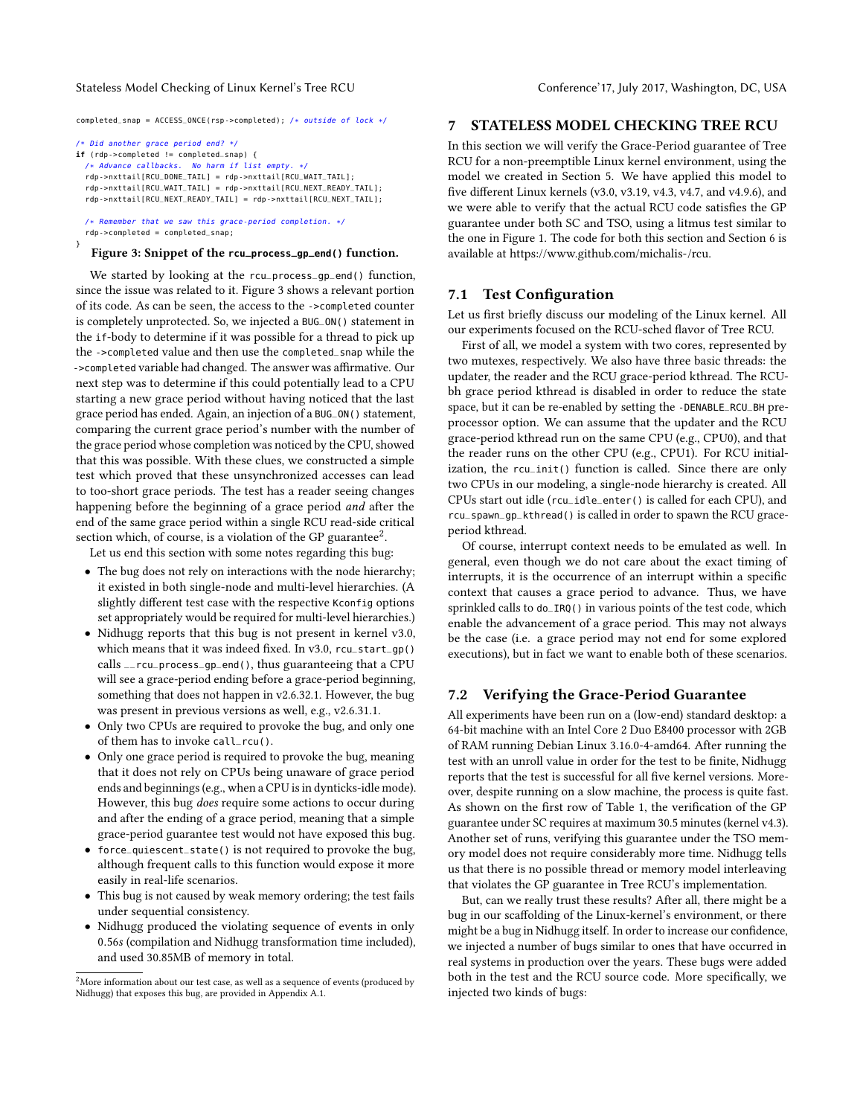#### Stateless Model Checking of Linux Kernel's Tree RCU Conference' 17, July 2017, Washington, DC, USA

<span id="page-6-1"></span>completed\_snap = ACCESS\_ONCE(rsp->completed); /\* outside of lock \*/

/\* Did another grace period end? \*/ **if** (rdp->completed != completed\_snap) { /\* Advance callbacks. No harm if list empty. \*/ rdp->nxttail[RCU\_DONE\_TAIL] = rdp->nxttail[RCU\_WAIT\_TAIL]; rdp->nxttail[RCU\_WAIT\_TAIL] = rdp->nxttail[RCU\_NEXT\_READY\_TAIL]; rdp->nxttail[RCU\_NEXT\_READY\_TAIL] = rdp->nxttail[RCU\_NEXT\_TAIL]; /\* Remember that we saw this grace-period completion. \*/

rdp->completed = completed\_snap;

}

### Figure 3: Snippet of the **rcu\_process\_gp\_end()** function.

We started by looking at the rcu\_process\_gp\_end() function, since the issue was related to it. Figure [3](#page-6-1) shows a relevant portion of its code. As can be seen, the access to the ->completed counter is completely unprotected. So, we injected a BUG\_ON() statement in the if-body to determine if it was possible for a thread to pick up the ->completed value and then use the completed\_snap while the ->completed variable had changed. The answer was affirmative. Our next step was to determine if this could potentially lead to a CPU starting a new grace period without having noticed that the last grace period has ended. Again, an injection of a BUG\_ON() statement, comparing the current grace period's number with the number of the grace period whose completion was noticed by the CPU, showed that this was possible. With these clues, we constructed a simple test which proved that these unsynchronized accesses can lead to too-short grace periods. The test has a reader seeing changes happening before the beginning of a grace period and after the end of the same grace period within a single RCU read-side critical section which, of course, is a violation of the GP guarantee<sup>[2](#page-6-2)</sup>.

Let us end this section with some notes regarding this bug:

- The bug does not rely on interactions with the node hierarchy; it existed in both single-node and multi-level hierarchies. (A slightly different test case with the respective Kconfig options set appropriately would be required for multi-level hierarchies.)
- Nidhugg reports that this bug is not present in kernel v3.0, which means that it was indeed fixed. In v3.0, rcu\_start\_gp() calls \_\_rcu\_process\_gp\_end(), thus guaranteeing that a CPU will see a grace-period ending before a grace-period beginning, something that does not happen in v2.6.32.1. However, the bug was present in previous versions as well, e.g., v2.6.31.1.
- Only two CPUs are required to provoke the bug, and only one of them has to invoke call\_rcu().
- Only one grace period is required to provoke the bug, meaning that it does not rely on CPUs being unaware of grace period ends and beginnings (e.g., when a CPU is in dynticks-idle mode). However, this bug does require some actions to occur during and after the ending of a grace period, meaning that a simple grace-period guarantee test would not have exposed this bug.
- force\_quiescent\_state() is not required to provoke the bug, although frequent calls to this function would expose it more easily in real-life scenarios.
- This bug is not caused by weak memory ordering; the test fails under sequential consistency.
- Nidhugg produced the violating sequence of events in only <sup>0</sup>.56<sup>s</sup> (compilation and Nidhugg transformation time included), and used 30.85MB of memory in total.

#### <span id="page-6-0"></span>7 STATELESS MODEL CHECKING TREE RCU

In this section we will verify the Grace-Period guarantee of Tree RCU for a non-preemptible Linux kernel environment, using the model we created in Section [5.](#page-4-0) We have applied this model to five different Linux kernels (v3.0, v3.19, v4.3, v4.7, and v4.9.6), and we were able to verify that the actual RCU code satisfies the GP guarantee under both SC and TSO, using a litmus test similar to the one in Figure [1.](#page-1-3) The code for both this section and Section [6](#page-5-0) is available at [https://www.github.com/michalis-/rcu.](https://www.github.com/michalis-/rcu)

### <span id="page-6-3"></span>7.1 Test Configuration

Let us first briefly discuss our modeling of the Linux kernel. All our experiments focused on the RCU-sched flavor of Tree RCU.

First of all, we model a system with two cores, represented by two mutexes, respectively. We also have three basic threads: the updater, the reader and the RCU grace-period kthread. The RCUbh grace period kthread is disabled in order to reduce the state space, but it can be re-enabled by setting the -DENABLE\_RCU\_BH preprocessor option. We can assume that the updater and the RCU grace-period kthread run on the same CPU (e.g., CPU0), and that the reader runs on the other CPU (e.g., CPU1). For RCU initialization, the rcu\_init() function is called. Since there are only two CPUs in our modeling, a single-node hierarchy is created. All CPUs start out idle (rcu\_idle\_enter() is called for each CPU), and rcu\_spawn\_gp\_kthread() is called in order to spawn the RCU graceperiod kthread.

Of course, interrupt context needs to be emulated as well. In general, even though we do not care about the exact timing of interrupts, it is the occurrence of an interrupt within a specific context that causes a grace period to advance. Thus, we have sprinkled calls to do\_IRQ() in various points of the test code, which enable the advancement of a grace period. This may not always be the case (i.e. a grace period may not end for some explored executions), but in fact we want to enable both of these scenarios.

### 7.2 Verifying the Grace-Period Guarantee

All experiments have been run on a (low-end) standard desktop: a 64-bit machine with an Intel Core 2 Duo E8400 processor with 2GB of RAM running Debian Linux 3.16.0-4-amd64. After running the test with an unroll value in order for the test to be finite, Nidhugg reports that the test is successful for all five kernel versions. Moreover, despite running on a slow machine, the process is quite fast. As shown on the first row of Table [1,](#page-8-0) the verification of the GP guarantee under SC requires at maximum 30.5 minutes (kernel v4.3). Another set of runs, verifying this guarantee under the TSO memory model does not require considerably more time. Nidhugg tells us that there is no possible thread or memory model interleaving that violates the GP guarantee in Tree RCU's implementation.

But, can we really trust these results? After all, there might be a bug in our scaffolding of the Linux-kernel's environment, or there might be a bug in Nidhugg itself. In order to increase our confidence, we injected a number of bugs similar to ones that have occurred in real systems in production over the years. These bugs were added both in the test and the RCU source code. More specifically, we injected two kinds of bugs:

<span id="page-6-2"></span><sup>&</sup>lt;sup>2</sup>More information about our test case, as well as a sequence of events (produced by Nidhugg) that exposes this bug, are provided in Appendix [A.1.](#page-10-1)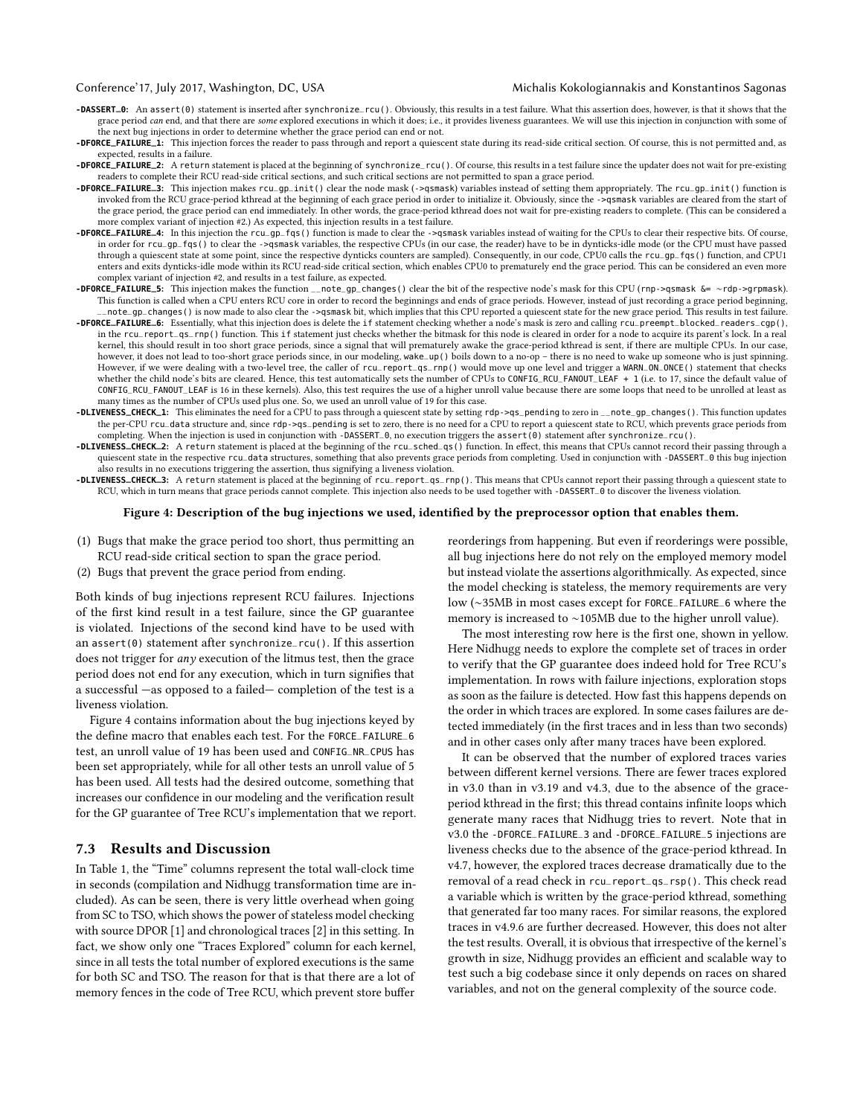- <span id="page-7-0"></span>**-DASSERT\_0**: An assert(0) statement is inserted after synchronize\_rcu(). Obviously, this results in a test failure. What this assertion does, however, is that it shows that the grace period can end, and that there are some explored executions in which it does; i.e., it provides liveness guarantees. We will use this injection in conjunction with some of the next bug injections in order to determine whether the grace period can end or not.
- **-DFORCE\_FAILURE\_1**: This injection forces the reader to pass through and report a quiescent state during its read-side critical section. Of course, this is not permitted and, as expected, results in a failure.
- **-DFORCE\_FAILURE\_2**: A return statement is placed at the beginning of synchronize\_rcu(). Of course, this results in a test failure since the updater does not wait for pre-existing readers to complete their RCU read-side critical sections, and such critical sections are not permitted to span a grace period.
- **-DFORCE\_FAILURE\_3**: This injection makes rcu\_gp\_init() clear the node mask (->qsmask) variables instead of setting them appropriately. The rcu\_gp\_init() function is invoked from the RCU grace-period kthread at the beginning of each grace period in order to initialize it. Obviously, since the ->qsmask variables are cleared from the start of the grace period, the grace period can end immediately. In other words, the grace-period kthread does not wait for pre-existing readers to complete. (This can be considered a more complex variant of injection #2.) As expected, this injection results in a test failure.
- **-DFORCE\_FAILURE\_4**: In this injection the rcu\_gp\_fqs() function is made to clear the ->qsmask variables instead of waiting for the CPUs to clear their respective bits. Of course, in order for rcu\_gp\_fqs() to clear the ->qsmask variables, the respective CPUs (in our case, the reader) have to be in dynticks-idle mode (or the CPU must have passed through a quiescent state at some point, since the respective dynticks counters are sampled). Consequently, in our code, CPU0 calls the rcu\_gp\_fqs() function, and CPU1 enters and exits dynticks-idle mode within its RCU read-side critical section, which enables CPU0 to prematurely end the grace period. This can be considered an even more complex variant of injection #2, and results in a test failure, as expected.
- **-DFORCE\_FAILURE\_5**: This injection makes the function \_\_note\_gp\_changes() clear the bit of the respective node's mask for this CPU (rnp->qsmask &= ∼rdp->grpmask). This function is called when a CPU enters RCU core in order to record the beginnings and ends of grace periods. However, instead of just recording a grace period beginning, \_\_note\_gp\_changes() is now made to also clear the ->qsmask bit, which implies that this CPU reported a quiescent state for the new grace period. This results in test failure.
- **-DFORCE\_FAILURE\_6**: Essentially, what this injection does is delete the if statement checking whether a node's mask is zero and calling rcu\_preempt\_blocked\_readers\_cgp(), in the rcu\_report\_qs\_rnp() function. This if statement just checks whether the bitmask for this node is cleared in order for a node to acquire its parent's lock. In a real kernel, this should result in too short grace periods, since a signal that will prematurely awake the grace-period kthread is sent, if there are multiple CPUs. In our case, however, it does not lead to too-short grace periods since, in our modeling, wake\_up() boils down to a no-op – there is no need to wake up someone who is just spinning. However, if we were dealing with a two-level tree, the caller of rcu\_report\_qs\_rnp() would move up one level and trigger a WARN\_ON\_ONCE() statement that checks whether the child node's bits are cleared. Hence, this test automatically sets the number of CPUs to CONFIG\_RCU\_FANOUT\_LEAF + 1 (i.e. to 17, since the default value of CONFIG\_RCU\_FANOUT\_LEAF is 16 in these kernels). Also, this test requires the use of a higher unroll value because there are some loops that need to be unrolled at least as many times as the number of CPUs used plus one. So, we used an unroll value of 19 for this case.
- **-DLIVENESS\_CHECK\_1**: This eliminates the need for a CPU to pass through a quiescent state by setting rdp->qs\_pending to zero in \_\_note\_gp\_changes(). This function updates the per-CPU rcu\_data structure and, since rdp->qs\_pending is set to zero, there is no need for a CPU to report a quiescent state to RCU, which prevents grace periods from completing. When the injection is used in conjunction with -DASSERT\_0, no execution triggers the assert(0) statement after synchronize\_rcu().
- -DLIVENESS\_CHECK\_2: A return statement is placed at the beginning of the rcu\_sched\_qs() function. In effect, this means that CPUs cannot record their passing through a quiescent state in the respective rcu\_data structures, something that also prevents grace periods from completing. Used in conjunction with -DASSERT\_0 this bug injection also results in no executions triggering the assertion, thus signifying a liveness violation.
- **-DLIVENESS\_CHECK\_3**: A return statement is placed at the beginning of rcu\_report\_qs\_rnp(). This means that CPUs cannot report their passing through a quiescent state to RCU, which in turn means that grace periods cannot complete. This injection also needs to be used together with -DASSERT\_0 to discover the liveness violation.

#### Figure 4: Description of the bug injections we used, identified by the preprocessor option that enables them.

- (1) Bugs that make the grace period too short, thus permitting an RCU read-side critical section to span the grace period.
- (2) Bugs that prevent the grace period from ending.

Both kinds of bug injections represent RCU failures. Injections of the first kind result in a test failure, since the GP guarantee is violated. Injections of the second kind have to be used with an assert(0) statement after synchronize\_rcu(). If this assertion does not trigger for  $any$  execution of the litmus test, then the grace period does not end for any execution, which in turn signifies that a successful —as opposed to a failed— completion of the test is a liveness violation.

Figure [4](#page-7-0) contains information about the bug injections keyed by the define macro that enables each test. For the FORCE\_FAILURE\_6 test, an unroll value of 19 has been used and CONFIG\_NR\_CPUS has been set appropriately, while for all other tests an unroll value of 5 has been used. All tests had the desired outcome, something that increases our confidence in our modeling and the verification result for the GP guarantee of Tree RCU's implementation that we report.

### 7.3 Results and Discussion

In Table [1,](#page-8-0) the "Time" columns represent the total wall-clock time in seconds (compilation and Nidhugg transformation time are included). As can be seen, there is very little overhead when going from SC to TSO, which shows the power of stateless model checking with source DPOR [\[1\]](#page-9-14) and chronological traces [\[2\]](#page-9-4) in this setting. In fact, we show only one "Traces Explored" column for each kernel, since in all tests the total number of explored executions is the same for both SC and TSO. The reason for that is that there are a lot of memory fences in the code of Tree RCU, which prevent store buffer

reorderings from happening. But even if reorderings were possible, all bug injections here do not rely on the employed memory model but instead violate the assertions algorithmically. As expected, since the model checking is stateless, the memory requirements are very low (∼35MB in most cases except for FORCE\_FAILURE\_6 where the memory is increased to ∼105MB due to the higher unroll value).

The most interesting row here is the first one, shown in yellow. Here Nidhugg needs to explore the complete set of traces in order to verify that the GP guarantee does indeed hold for Tree RCU's implementation. In rows with failure injections, exploration stops as soon as the failure is detected. How fast this happens depends on the order in which traces are explored. In some cases failures are detected immediately (in the first traces and in less than two seconds) and in other cases only after many traces have been explored.

It can be observed that the number of explored traces varies between different kernel versions. There are fewer traces explored in v3.0 than in v3.19 and v4.3, due to the absence of the graceperiod kthread in the first; this thread contains infinite loops which generate many races that Nidhugg tries to revert. Note that in v3.0 the -DFORCE\_FAILURE\_3 and -DFORCE\_FAILURE\_5 injections are liveness checks due to the absence of the grace-period kthread. In v4.7, however, the explored traces decrease dramatically due to the removal of a read check in rcu\_report\_qs\_rsp(). This check read a variable which is written by the grace-period kthread, something that generated far too many races. For similar reasons, the explored traces in v4.9.6 are further decreased. However, this does not alter the test results. Overall, it is obvious that irrespective of the kernel's growth in size, Nidhugg provides an efficient and scalable way to test such a big codebase since it only depends on races on shared variables, and not on the general complexity of the source code.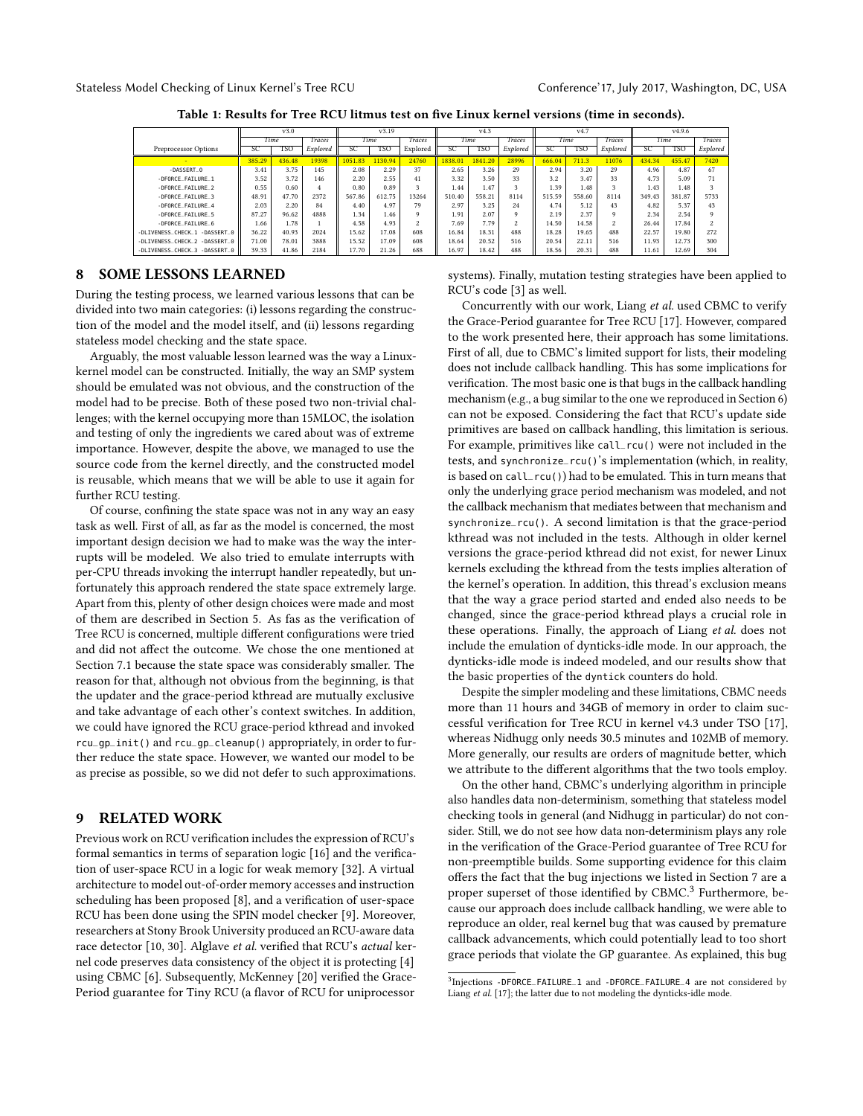Table 1: Results for Tree RCU litmus test on five Linux kernel versions (time in seconds).

<span id="page-8-0"></span>

|                               | v3.0<br>v3.19 |            |          |         | v4.3       |               |         | v4.7    |                |           | v4.9.6 |                |        |            |                |
|-------------------------------|---------------|------------|----------|---------|------------|---------------|---------|---------|----------------|-----------|--------|----------------|--------|------------|----------------|
|                               |               | Time       | Traces   | Time    |            | <b>Traces</b> | Time    |         | Traces         | Time      |        | Traces         | Time   |            | <b>Traces</b>  |
| Preprocessor Options          | SC            | <b>TSO</b> | Explored | SC      | <b>TSO</b> | Explored      | SC      | TSO     | Explored       | <b>SC</b> | TSO    | Explored       | SC     | <b>TSO</b> | Explored       |
|                               | 385.29        | 436.48     | 19398    | 1051.83 | 130.94     | 24760         | 1838.01 | 1841.20 | 28996          | 666.04    | 711.3  | 11076          | 434.34 | 455.47     | 7420           |
| -DASSERT 0                    | 3.41          | 3.75       | 145      | 2.08    | 2.29       | 37            | 2.65    | 3.26    | 29             | 2.94      | 3.20   | 29             | 4.96   | 4.87       | 67             |
| -DFORCE FAILURE 1             | 3.52          | 3.72       | 146      | 2.20    | 2.55       | 41            | 3.32    | 3.50    | 33             | 3.2       | 3.47   | 33             | 4.73   | 5.09       | 71             |
| -DFORCE FAILURE 2             | 0.55          | 0.60       |          | 0.80    | 0.89       | 3             | 1.44    | 1.47    | 3              | 1.39      | 1.48   | 3              | 1.43   | 1.48       |                |
| -DFORCE FAILURE 3             | 48.91         | 47.70      | 2372     | 567.86  | 612.75     | 13264         | 510.40  | 558.21  | 8114           | 515.59    | 558.60 | 8114           | 349.43 | 381.87     | 5733           |
| -DEORCE FATLURE 4             | 2.03          | 2.20       | 84       | 4.40    | 4.97       | 79            | 2.97    | 3.25    | 24             | 4.74      | 5.12   | 43             | 4.82   | 5.37       | 43             |
| -DEORCE FATLURE 5             | 87.27         | 96.62      | 4888     | 1.34    | 1.46       |               | 1.91    | 2.07    | 9              | 2.19      | 2.37   | 9              | 2.34   | 2.54       |                |
| -DFORCE_FAILURE_6             | 1.66          | 1.78       |          | 4.58    | 4.93       | $\sim$        | 7.69    | 7.79    | $\overline{2}$ | 14.50     | 14.58  | $\mathfrak{D}$ | 26.44  | 17.84      | $\mathfrak{D}$ |
| -DLIVENESS_CHECK_1 -DASSERT_0 | 36.22         | 40.93      | 2024     | 15.62   | 17.08      | 608           | 16.84   | 18.31   | 488            | 18.28     | 19.65  | 488            | 22.57  | 19.80      | 272            |
| -DLIVENESS_CHECK_2 -DASSERT_0 | 71.00         | 78.01      | 3888     | 15.52   | 17.09      | 608           | 18.64   | 20.52   | 516            | 20.54     | 22.11  | 516            | 11.93  | 12.73      | 300            |
| -DLIVENESS CHECK 3 -DASSERT 0 | 39.33         | 41.86      | 2184     | 17.70   | 21.26      | 688           | 16.97   | 18.42   | 488            | 18.56     | 20.31  | 488            | 11.61  | 12.69      | 304            |

### 8 SOME LESSONS LEARNED

During the testing process, we learned various lessons that can be divided into two main categories: (i) lessons regarding the construction of the model and the model itself, and (ii) lessons regarding stateless model checking and the state space.

Arguably, the most valuable lesson learned was the way a Linuxkernel model can be constructed. Initially, the way an SMP system should be emulated was not obvious, and the construction of the model had to be precise. Both of these posed two non-trivial challenges; with the kernel occupying more than 15MLOC, the isolation and testing of only the ingredients we cared about was of extreme importance. However, despite the above, we managed to use the source code from the kernel directly, and the constructed model is reusable, which means that we will be able to use it again for further RCU testing.

Of course, confining the state space was not in any way an easy task as well. First of all, as far as the model is concerned, the most important design decision we had to make was the way the interrupts will be modeled. We also tried to emulate interrupts with per-CPU threads invoking the interrupt handler repeatedly, but unfortunately this approach rendered the state space extremely large. Apart from this, plenty of other design choices were made and most of them are described in Section [5.](#page-4-0) As fas as the verification of Tree RCU is concerned, multiple different configurations were tried and did not affect the outcome. We chose the one mentioned at Section [7.1](#page-6-3) because the state space was considerably smaller. The reason for that, although not obvious from the beginning, is that the updater and the grace-period kthread are mutually exclusive and take advantage of each other's context switches. In addition, we could have ignored the RCU grace-period kthread and invoked rcu\_gp\_init() and rcu\_gp\_cleanup() appropriately, in order to further reduce the state space. However, we wanted our model to be as precise as possible, so we did not defer to such approximations.

### 9 RELATED WORK

Previous work on RCU verification includes the expression of RCU's formal semantics in terms of separation logic [\[16\]](#page-9-22) and the verification of user-space RCU in a logic for weak memory [\[32\]](#page-9-23). A virtual architecture to model out-of-order memory accesses and instruction scheduling has been proposed [\[8\]](#page-9-24), and a verification of user-space RCU has been done using the SPIN model checker [\[9\]](#page-9-25). Moreover, researchers at Stony Brook University produced an RCU-aware data race detector [\[10,](#page-9-26) [30\]](#page-9-27). Alglave et al. verified that RCU's actual kernel code preserves data consistency of the object it is protecting [\[4\]](#page-9-28) using CBMC [\[6\]](#page-9-29). Subsequently, McKenney [\[20\]](#page-9-30) verified the Grace-Period guarantee for Tiny RCU (a flavor of RCU for uniprocessor

systems). Finally, mutation testing strategies have been applied to RCU's code [\[3\]](#page-9-31) as well.

Concurrently with our work, Liang et al. used CBMC to verify the Grace-Period guarantee for Tree RCU [\[17\]](#page-9-32). However, compared to the work presented here, their approach has some limitations. First of all, due to CBMC's limited support for lists, their modeling does not include callback handling. This has some implications for verification. The most basic one is that bugs in the callback handling mechanism (e.g., a bug similar to the one we reproduced in Section [6\)](#page-5-0) can not be exposed. Considering the fact that RCU's update side primitives are based on callback handling, this limitation is serious. For example, primitives like call\_rcu() were not included in the tests, and synchronize\_rcu()'s implementation (which, in reality, is based on call\_rcu()) had to be emulated. This in turn means that only the underlying grace period mechanism was modeled, and not the callback mechanism that mediates between that mechanism and synchronize\_rcu(). A second limitation is that the grace-period kthread was not included in the tests. Although in older kernel versions the grace-period kthread did not exist, for newer Linux kernels excluding the kthread from the tests implies alteration of the kernel's operation. In addition, this thread's exclusion means that the way a grace period started and ended also needs to be changed, since the grace-period kthread plays a crucial role in these operations. Finally, the approach of Liang et al. does not include the emulation of dynticks-idle mode. In our approach, the dynticks-idle mode is indeed modeled, and our results show that the basic properties of the dyntick counters do hold.

Despite the simpler modeling and these limitations, CBMC needs more than 11 hours and 34GB of memory in order to claim suc-cessful verification for Tree RCU in kernel v4.3 under TSO [\[17\]](#page-9-32), whereas Nidhugg only needs 30.5 minutes and 102MB of memory. More generally, our results are orders of magnitude better, which we attribute to the different algorithms that the two tools employ.

On the other hand, CBMC's underlying algorithm in principle also handles data non-determinism, something that stateless model checking tools in general (and Nidhugg in particular) do not consider. Still, we do not see how data non-determinism plays any role in the verification of the Grace-Period guarantee of Tree RCU for non-preemptible builds. Some supporting evidence for this claim offers the fact that the bug injections we listed in Section [7](#page-6-0) are a proper superset of those identified by CBMC.<sup>[3](#page-8-1)</sup> Furthermore, because our approach does include callback handling, we were able to reproduce an older, real kernel bug that was caused by premature callback advancements, which could potentially lead to too short grace periods that violate the GP guarantee. As explained, this bug

<span id="page-8-1"></span><sup>&</sup>lt;sup>3</sup>Injections -DFORCE\_FAILURE\_1 and -DFORCE\_FAILURE\_4 are not considered by Liang et al. [\[17\]](#page-9-32); the latter due to not modeling the dynticks-idle mode.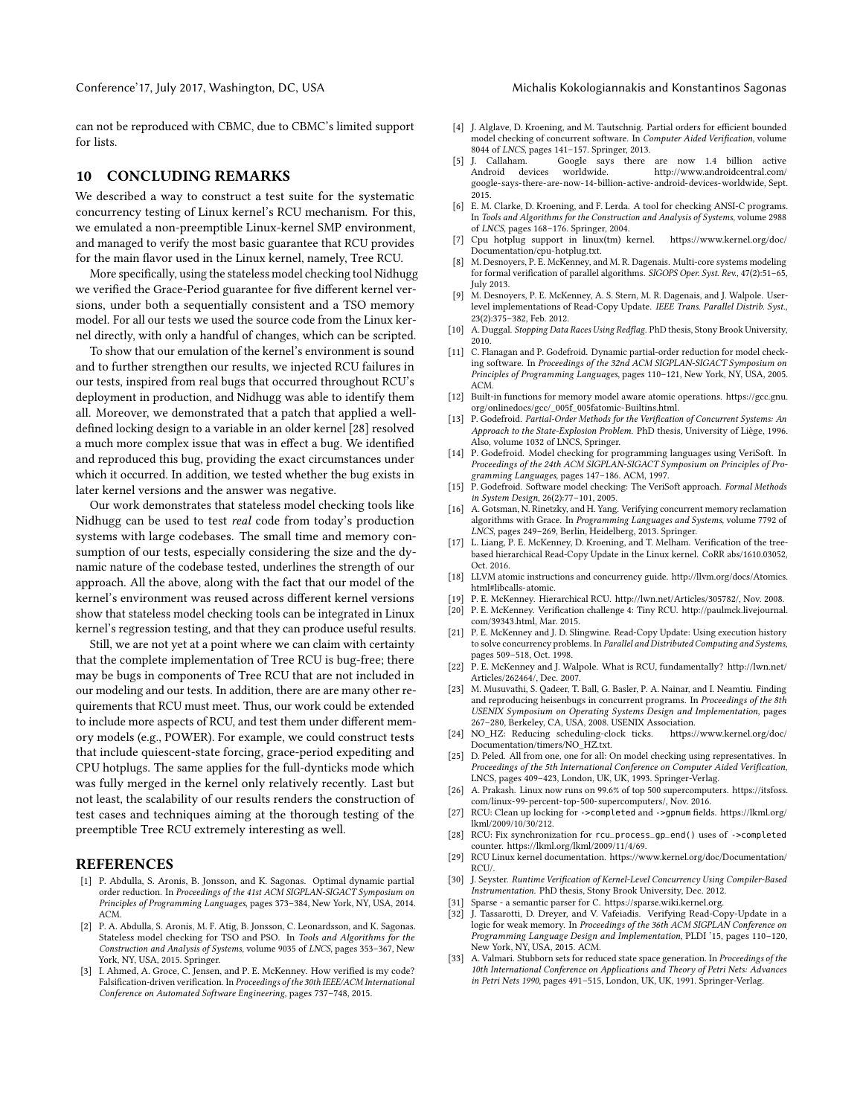can not be reproduced with CBMC, due to CBMC's limited support for lists.

### 10 CONCLUDING REMARKS

We described a way to construct a test suite for the systematic concurrency testing of Linux kernel's RCU mechanism. For this, we emulated a non-preemptible Linux-kernel SMP environment, and managed to verify the most basic guarantee that RCU provides for the main flavor used in the Linux kernel, namely, Tree RCU.

More specifically, using the stateless model checking tool Nidhugg we verified the Grace-Period guarantee for five different kernel versions, under both a sequentially consistent and a TSO memory model. For all our tests we used the source code from the Linux kernel directly, with only a handful of changes, which can be scripted.

To show that our emulation of the kernel's environment is sound and to further strengthen our results, we injected RCU failures in our tests, inspired from real bugs that occurred throughout RCU's deployment in production, and Nidhugg was able to identify them all. Moreover, we demonstrated that a patch that applied a well-defined locking design to a variable in an older kernel [\[28\]](#page-9-21) resolved a much more complex issue that was in effect a bug. We identified and reproduced this bug, providing the exact circumstances under which it occurred. In addition, we tested whether the bug exists in later kernel versions and the answer was negative.

Our work demonstrates that stateless model checking tools like Nidhugg can be used to test real code from today's production systems with large codebases. The small time and memory consumption of our tests, especially considering the size and the dynamic nature of the codebase tested, underlines the strength of our approach. All the above, along with the fact that our model of the kernel's environment was reused across different kernel versions show that stateless model checking tools can be integrated in Linux kernel's regression testing, and that they can produce useful results.

Still, we are not yet at a point where we can claim with certainty that the complete implementation of Tree RCU is bug-free; there may be bugs in components of Tree RCU that are not included in our modeling and our tests. In addition, there are are many other requirements that RCU must meet. Thus, our work could be extended to include more aspects of RCU, and test them under different memory models (e.g., POWER). For example, we could construct tests that include quiescent-state forcing, grace-period expediting and CPU hotplugs. The same applies for the full-dynticks mode which was fully merged in the kernel only relatively recently. Last but not least, the scalability of our results renders the construction of test cases and techniques aiming at the thorough testing of the preemptible Tree RCU extremely interesting as well.

#### REFERENCES

- <span id="page-9-14"></span>[1] P. Abdulla, S. Aronis, B. Jonsson, and K. Sagonas. Optimal dynamic partial order reduction. In Proceedings of the 41st ACM SIGPLAN-SIGACT Symposium on Principles of Programming Languages, pages 373–384, New York, NY, USA, 2014. ACM.
- <span id="page-9-4"></span>[2] P. A. Abdulla, S. Aronis, M. F. Atig, B. Jonsson, C. Leonardsson, and K. Sagonas. Stateless model checking for TSO and PSO. In Tools and Algorithms for the Construction and Analysis of Systems, volume 9035 of LNCS, pages 353–367, New York, NY, USA, 2015. Springer.
- <span id="page-9-31"></span>[3] I. Ahmed, A. Groce, C. Jensen, and P. E. McKenney. How verified is my code? Falsification-driven verification. In Proceedings of the 30th IEEE/ACM International Conference on Automated Software Engineering, pages 737–748, 2015.
- <span id="page-9-28"></span>[4] J. Alglave, D. Kroening, and M. Tautschnig. Partial orders for efficient bounded model checking of concurrent software. In *Computer Aided Verification*, volume 8044 of LNCS, pages 141–157. Springer, 2013.
- <span id="page-9-0"></span>[5] J. Callaham. Google says there are now 1.4 billion active  $\text{http://www.} and \text{roideentral.com/}$ [google-says-there-are-now-14-billion-active-android-devices-worldwide,](http://www.androidcentral.com/google-says-there-are-now-14-billion-active-android-devices-worldwide) Sept. 2015.
- <span id="page-9-29"></span>[6] E. M. Clarke, D. Kroening, and F. Lerda. A tool for checking ANSI-C programs. In Tools and Algorithms for the Construction and Analysis of Systems, volume 2988 of LNCS, pages 168–176. Springer, 2004.
- <span id="page-9-17"></span>[7] Cpu hotplug support in linux(tm) kernel. [https://www.kernel.org/doc/](https://www.kernel.org/doc/Documentation/cpu-hotplug.txt) [Documentation/cpu-hotplug.txt.](https://www.kernel.org/doc/Documentation/cpu-hotplug.txt)
- <span id="page-9-24"></span>[8] M. Desnoyers, P. E. McKenney, and M. R. Dagenais. Multi-core systems modeling for formal verification of parallel algorithms. SIGOPS Oper. Syst. Rev., 47(2):51-65, July 2013.
- <span id="page-9-25"></span>[9] M. Desnoyers, P. E. McKenney, A. S. Stern, M. R. Dagenais, and J. Walpole. Userlevel implementations of Read-Copy Update. IEEE Trans. Parallel Distrib. Syst., 23(2):375–382, Feb. 2012.
- <span id="page-9-26"></span>[10] A. Duggal. Stopping Data Races Using Redflag. PhD thesis, Stony Brook University, 2010.
- <span id="page-9-13"></span>[11] C. Flanagan and P. Godefroid. Dynamic partial-order reduction for model checking software. In Proceedings of the 32nd ACM SIGPLAN-SIGACT Symposium on Principles of Programming Languages, pages 110–121, New York, NY, USA, 2005. ACM.
- <span id="page-9-18"></span>[12] Built-in functions for memory model aware atomic operations. [https://gcc.gnu.](https://gcc.gnu.org/onlinedocs/gcc/_005f_005fatomic-Builtins.html) [org/onlinedocs/gcc/\\_005f\\_005fatomic-Builtins.html.](https://gcc.gnu.org/onlinedocs/gcc/_005f_005fatomic-Builtins.html)
- <span id="page-9-10"></span>[13] P. Godefroid. Partial-Order Methods for the Verification of Concurrent Systems: An Approach to the State-Explosion Problem. PhD thesis, University of Liège, 1996. Also, volume 1032 of LNCS, Springer.
- <span id="page-9-7"></span>[14] P. Godefroid. Model checking for programming languages using VeriSoft. In Proceedings of the 24th ACM SIGPLAN-SIGACT Symposium on Principles of Programming Languages, pages 147–186. ACM, 1997.
- <span id="page-9-8"></span>[15] P. Godefroid. Software model checking: The VeriSoft approach. Formal Methods in System Design, 26(2):77–101, 2005.
- <span id="page-9-22"></span>[16] A. Gotsman, N. Rinetzky, and H. Yang. Verifying concurrent memory reclamation algorithms with Grace. In Programming Languages and Systems, volume 7792 of LNCS, pages 249–269, Berlin, Heidelberg, 2013. Springer.
- <span id="page-9-32"></span>[17] L. Liang, P. E. McKenney, D. Kroening, and T. Melham. Verification of the treebased hierarchical Read-Copy Update in the Linux kernel. CoRR abs/1610.03052, Oct. 2016.
- <span id="page-9-19"></span>[18] LLVM atomic instructions and concurrency guide. [http://llvm.org/docs/Atomics.](http://llvm.org/docs/Atomics.html#libcalls-atomic) [html#libcalls-atomic.](http://llvm.org/docs/Atomics.html#libcalls-atomic)
- <span id="page-9-30"></span><span id="page-9-15"></span>[19] P. E. McKenney. Hierarchical RCU. [http://lwn.net/Articles/305782/,](http://lwn.net/Articles/305782/) Nov. 2008. P. E. McKenney. Verification challenge 4: Tiny RCU. [http://paulmck.livejournal.](http://paulmck.livejournal.com/39343.html) [com/39343.html,](http://paulmck.livejournal.com/39343.html) Mar. 2015.
- <span id="page-9-2"></span>[21] P. E. McKenney and J. D. Slingwine. Read-Copy Update: Using execution history to solve concurrency problems. In Parallel and Distributed Computing and Systems, pages 509–518, Oct. 1998.
- <span id="page-9-3"></span>[22] P. E. McKenney and J. Walpole. What is RCU, fundamentally? [http://lwn.net/](http://lwn.net/Articles/262464/) [Articles/262464/,](http://lwn.net/Articles/262464/) Dec. 2007.
- <span id="page-9-9"></span>[23] M. Musuvathi, S. Qadeer, T. Ball, G. Basler, P. A. Nainar, and I. Neamtiu. Finding and reproducing heisenbugs in concurrent programs. In Proceedings of the 8th USENIX Symposium on Operating Systems Design and Implementation, pages 267–280, Berkeley, CA, USA, 2008. USENIX Association.
- <span id="page-9-16"></span>[24] NO\_HZ: Reducing scheduling-clock ticks. [Documentation/timers/NO\\_HZ.txt.](https://www.kernel.org/doc/Documentation/timers/NO_HZ.txt)
- <span id="page-9-11"></span>[25] D. Peled. All from one, one for all: On model checking using representatives. In Proceedings of the 5th International Conference on Computer Aided Verification, LNCS, pages 409–423, London, UK, UK, 1993. Springer-Verlag.
- <span id="page-9-1"></span>[26] A. Prakash. Linux now runs on 99.6% of top 500 supercomputers. [https://itsfoss.](https://itsfoss.com/linux-99-percent-top-500-supercomputers/) [com/linux-99-percent-top-500-supercomputers/,](https://itsfoss.com/linux-99-percent-top-500-supercomputers/) Nov. 2016.
- <span id="page-9-20"></span>[27] RCU: Clean up locking for ->completed and ->gpnum fields. [https://lkml.org/](https://lkml.org/lkml/2009/10/30/212) [lkml/2009/10/30/212.](https://lkml.org/lkml/2009/10/30/212)
- <span id="page-9-21"></span>[28] RCU: Fix synchronization for rcu\_process\_gp\_end() uses of ->completed counter. [https://lkml.org/lkml/2009/11/4/69.](https://lkml.org/lkml/2009/11/4/69)
- <span id="page-9-6"></span>[29] RCU Linux kernel documentation. [https://www.kernel.org/doc/Documentation/](https://www.kernel.org/doc/Documentation/RCU/) [RCU/.](https://www.kernel.org/doc/Documentation/RCU/)
- <span id="page-9-27"></span>[30] J. Seyster. Runtime Verification of Kernel-Level Concurrency Using Compiler-Based Instrumentation. PhD thesis, Stony Brook University, Dec. 2012.
- <span id="page-9-5"></span>[31] Sparse - a semantic parser for C. [https://sparse.wiki.kernel.org.](https://sparse.wiki.kernel.org)<br>[32] I. Tassarotti, D. Drever, and V. Vafejadis. Verifying Read-Co
- <span id="page-9-23"></span>J. Tassarotti, D. Dreyer, and V. Vafeiadis. Verifying Read-Copy-Update in a logic for weak memory. In Proceedings of the 36th ACM SIGPLAN Conference on Programming Language Design and Implementation, PLDI '15, pages 110–120, New York, NY, USA, 2015. ACM.
- <span id="page-9-12"></span>[33] A. Valmari. Stubborn sets for reduced state space generation. In Proceedings of the 10th International Conference on Applications and Theory of Petri Nets: Advances in Petri Nets 1990, pages 491–515, London, UK, UK, 1991. Springer-Verlag.